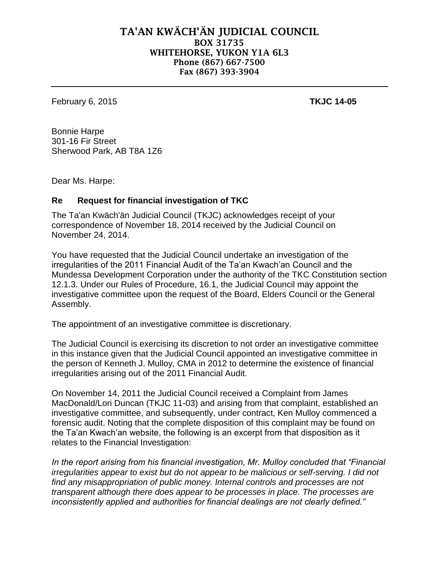## **TA'AN KWÄCH'ÄN JUDICIAL COUNCIL BOX 31735 WHITEHORSE, YUKON Y1A 6L3 Phone (867) 667-7500 Fax (867) 393-3904**

February 6, 2015 **TKJC 14-05**

Bonnie Harpe 301-16 Fir Street Sherwood Park, AB T8A 1Z6

Dear Ms. Harpe:

## **Re Request for financial investigation of TKC**

The Ta'an Kwäch'än Judicial Council (TKJC) acknowledges receipt of your correspondence of November 18, 2014 received by the Judicial Council on November 24, 2014.

You have requested that the Judicial Council undertake an investigation of the irregularities of the 2011 Financial Audit of the Ta'an Kwach'an Council and the Mundessa Development Corporation under the authority of the TKC Constitution section 12.1.3. Under our Rules of Procedure, 16.1, the Judicial Council may appoint the investigative committee upon the request of the Board, Elders Council or the General Assembly.

The appointment of an investigative committee is discretionary.

The Judicial Council is exercising its discretion to not order an investigative committee in this instance given that the Judicial Council appointed an investigative committee in the person of Kenneth J. Mulloy, CMA in 2012 to determine the existence of financial irregularities arising out of the 2011 Financial Audit.

On November 14, 2011 the Judicial Council received a Complaint from James MacDonald/Lori Duncan (TKJC 11-03) and arising from that complaint, established an investigative committee, and subsequently, under contract, Ken Mulloy commenced a forensic audit. Noting that the complete disposition of this complaint may be found on the Ta'an Kwach'an website, the following is an excerpt from that disposition as it relates to the Financial Investigation:

*In the report arising from his financial investigation, Mr. Mulloy concluded that "Financial irregularities appear to exist but do not appear to be malicious or self-serving. I did not find any misappropriation of public money. Internal controls and processes are not transparent although there does appear to be processes in place. The processes are inconsistently applied and authorities for financial dealings are not clearly defined."*